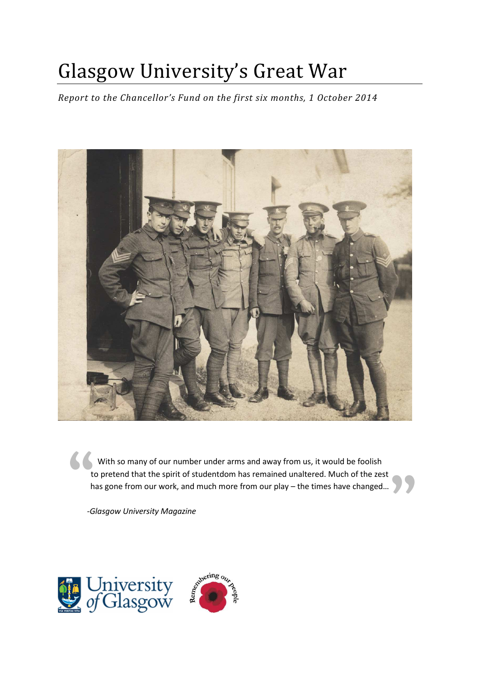# Glasgow University's Great War

*Report to the Chancellor's Fund on the first six months, 1 October 2014* 



" **"** With so many of our number under arms and away from us, it would be foolish to pretend that the spirit of studentdom has remained unaltered. Much of the zest has gone from our work, and much more from our play – the times have changed…

*-Glasgow University Magazine* 

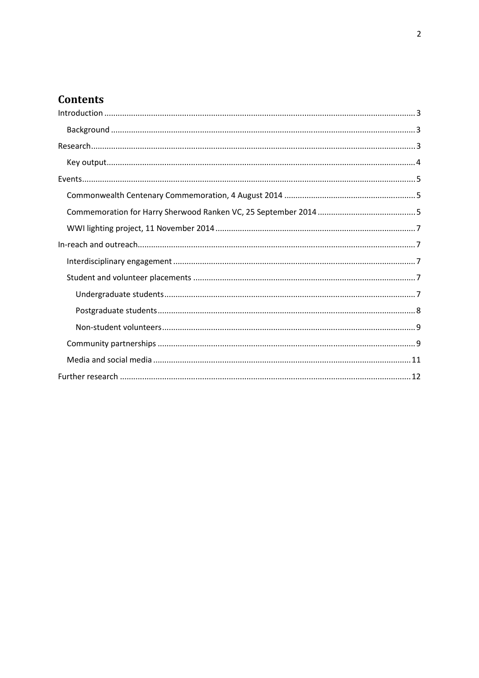## **Contents**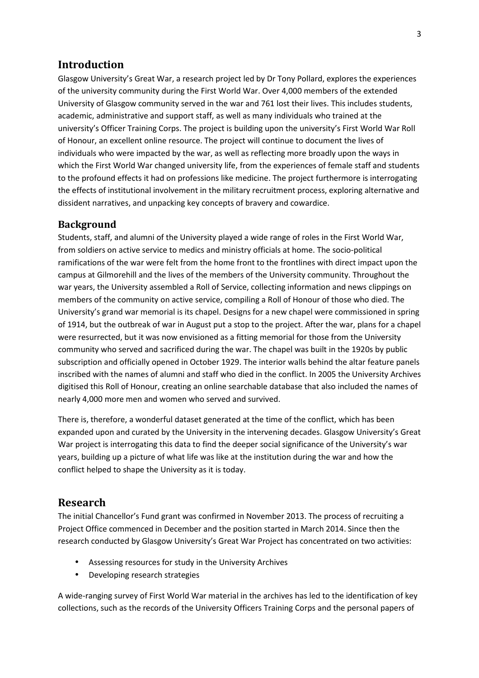### **Introduction**

Glasgow University's Great War, a research project led by Dr Tony Pollard, explores the experiences of the university community during the First World War. Over 4,000 members of the extended University of Glasgow community served in the war and 761 lost their lives. This includes students, academic, administrative and support staff, as well as many individuals who trained at the university's Officer Training Corps. The project is building upon the university's First World War Roll of Honour, an excellent online resource. The project will continue to document the lives of individuals who were impacted by the war, as well as reflecting more broadly upon the ways in which the First World War changed university life, from the experiences of female staff and students to the profound effects it had on professions like medicine. The project furthermore is interrogating the effects of institutional involvement in the military recruitment process, exploring alternative and dissident narratives, and unpacking key concepts of bravery and cowardice.

#### **Background**

Students, staff, and alumni of the University played a wide range of roles in the First World War, from soldiers on active service to medics and ministry officials at home. The socio-political ramifications of the war were felt from the home front to the frontlines with direct impact upon the campus at Gilmorehill and the lives of the members of the University community. Throughout the war years, the University assembled a Roll of Service, collecting information and news clippings on members of the community on active service, compiling a Roll of Honour of those who died. The University's grand war memorial is its chapel. Designs for a new chapel were commissioned in spring of 1914, but the outbreak of war in August put a stop to the project. After the war, plans for a chapel were resurrected, but it was now envisioned as a fitting memorial for those from the University community who served and sacrificed during the war. The chapel was built in the 1920s by public subscription and officially opened in October 1929. The interior walls behind the altar feature panels inscribed with the names of alumni and staff who died in the conflict. In 2005 the University Archives digitised this Roll of Honour, creating an online searchable database that also included the names of nearly 4,000 more men and women who served and survived.

There is, therefore, a wonderful dataset generated at the time of the conflict, which has been expanded upon and curated by the University in the intervening decades. Glasgow University's Great War project is interrogating this data to find the deeper social significance of the University's war years, building up a picture of what life was like at the institution during the war and how the conflict helped to shape the University as it is today.

#### **Research**

The initial Chancellor's Fund grant was confirmed in November 2013. The process of recruiting a Project Office commenced in December and the position started in March 2014. Since then the research conducted by Glasgow University's Great War Project has concentrated on two activities:

- Assessing resources for study in the University Archives
- Developing research strategies

A wide-ranging survey of First World War material in the archives has led to the identification of key collections, such as the records of the University Officers Training Corps and the personal papers of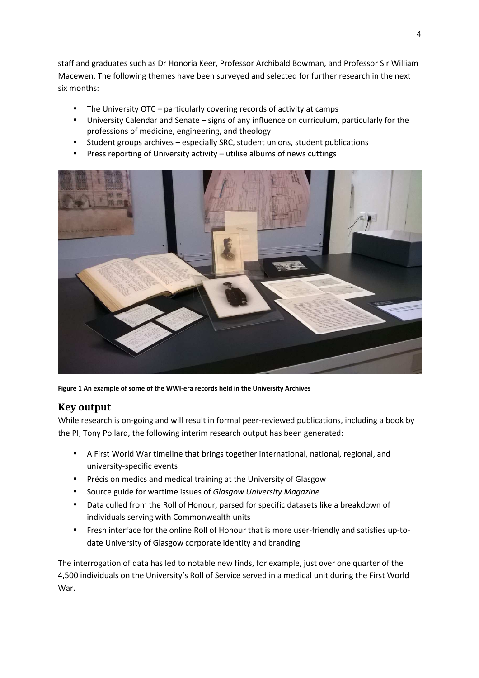staff and graduates such as Dr Honoria Keer, Professor Archibald Bowman, and Professor Sir William Macewen. The following themes have been surveyed and selected for further research in the next six months:

- The University OTC particularly covering records of activity at camps
- University Calendar and Senate signs of any influence on curriculum, particularly for the professions of medicine, engineering, and theology
- Student groups archives especially SRC, student unions, student publications
- Press reporting of University activity utilise albums of news cuttings



**Figure 1 An example of some of the WWI-era records held in the University Archives** 

## **Key output**

While research is on-going and will result in formal peer-reviewed publications, including a book by the PI, Tony Pollard, the following interim research output has been generated:

- A First World War timeline that brings together international, national, regional, and university-specific events
- Précis on medics and medical training at the University of Glasgow
- Source guide for wartime issues of *Glasgow University Magazine*
- Data culled from the Roll of Honour, parsed for specific datasets like a breakdown of individuals serving with Commonwealth units
- Fresh interface for the online Roll of Honour that is more user-friendly and satisfies up-todate University of Glasgow corporate identity and branding

The interrogation of data has led to notable new finds, for example, just over one quarter of the 4,500 individuals on the University's Roll of Service served in a medical unit during the First World War.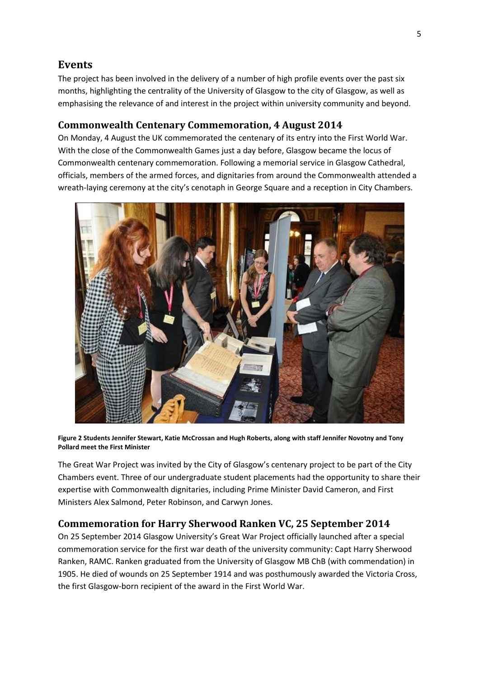## **Events**

The project has been involved in the delivery of a number of high profile events over the past six months, highlighting the centrality of the University of Glasgow to the city of Glasgow, as well as emphasising the relevance of and interest in the project within university community and beyond.

#### **Commonwealth Centenary Commemoration, 4 August 2014**

On Monday, 4 August the UK commemorated the centenary of its entry into the First World War. With the close of the Commonwealth Games just a day before, Glasgow became the locus of Commonwealth centenary commemoration. Following a memorial service in Glasgow Cathedral, officials, members of the armed forces, and dignitaries from around the Commonwealth attended a wreath-laying ceremony at the city's cenotaph in George Square and a reception in City Chambers.



**Figure 2 Students Jennifer Stewart, Katie McCrossan and Hugh Roberts, along with staff Jennifer Novotny and Tony Pollard meet the First Minister** 

The Great War Project was invited by the City of Glasgow's centenary project to be part of the City Chambers event. Three of our undergraduate student placements had the opportunity to share their expertise with Commonwealth dignitaries, including Prime Minister David Cameron, and First Ministers Alex Salmond, Peter Robinson, and Carwyn Jones.

## **Commemoration for Harry Sherwood Ranken VC, 25 September 2014**

On 25 September 2014 Glasgow University's Great War Project officially launched after a special commemoration service for the first war death of the university community: Capt Harry Sherwood Ranken, RAMC. Ranken graduated from the University of Glasgow MB ChB (with commendation) in 1905. He died of wounds on 25 September 1914 and was posthumously awarded the Victoria Cross, the first Glasgow-born recipient of the award in the First World War.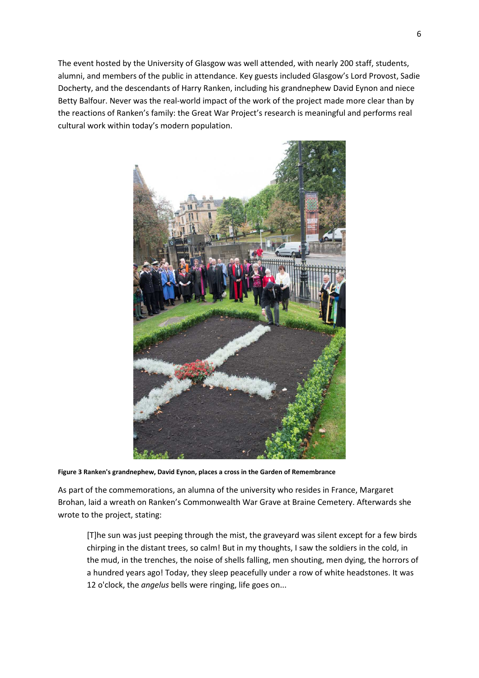The event hosted by the University of Glasgow was well attended, with nearly 200 staff, students, alumni, and members of the public in attendance. Key guests included Glasgow's Lord Provost, Sadie Docherty, and the descendants of Harry Ranken, including his grandnephew David Eynon and niece Betty Balfour. Never was the real-world impact of the work of the project made more clear than by the reactions of Ranken's family: the Great War Project's research is meaningful and performs real cultural work within today's modern population.



**Figure 3 Ranken's grandnephew, David Eynon, places a cross in the Garden of Remembrance** 

As part of the commemorations, an alumna of the university who resides in France, Margaret Brohan, laid a wreath on Ranken's Commonwealth War Grave at Braine Cemetery. Afterwards she wrote to the project, stating:

[T]he sun was just peeping through the mist, the graveyard was silent except for a few birds chirping in the distant trees, so calm! But in my thoughts, I saw the soldiers in the cold, in the mud, in the trenches, the noise of shells falling, men shouting, men dying, the horrors of a hundred years ago! Today, they sleep peacefully under a row of white headstones. It was 12 o'clock, the *angelus* bells were ringing, life goes on...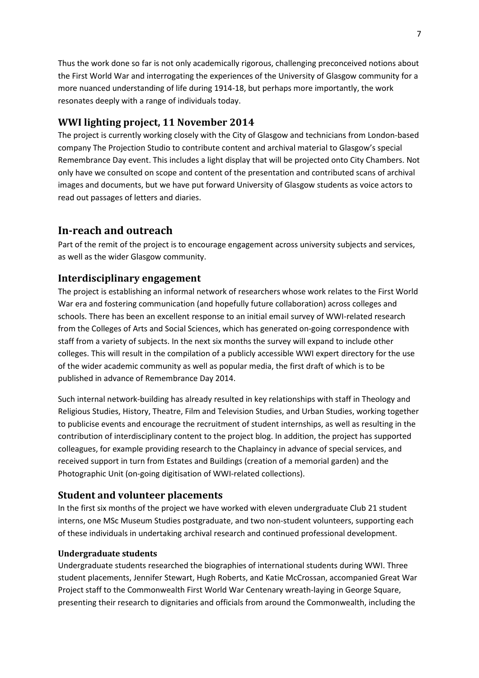Thus the work done so far is not only academically rigorous, challenging preconceived notions about the First World War and interrogating the experiences of the University of Glasgow community for a more nuanced understanding of life during 1914-18, but perhaps more importantly, the work resonates deeply with a range of individuals today.

### **WWI lighting project, 11 November 2014**

The project is currently working closely with the City of Glasgow and technicians from London-based company The Projection Studio to contribute content and archival material to Glasgow's special Remembrance Day event. This includes a light display that will be projected onto City Chambers. Not only have we consulted on scope and content of the presentation and contributed scans of archival images and documents, but we have put forward University of Glasgow students as voice actors to read out passages of letters and diaries.

## **In-reach and outreach**

Part of the remit of the project is to encourage engagement across university subjects and services, as well as the wider Glasgow community.

#### **Interdisciplinary engagement**

The project is establishing an informal network of researchers whose work relates to the First World War era and fostering communication (and hopefully future collaboration) across colleges and schools. There has been an excellent response to an initial email survey of WWI-related research from the Colleges of Arts and Social Sciences, which has generated on-going correspondence with staff from a variety of subjects. In the next six months the survey will expand to include other colleges. This will result in the compilation of a publicly accessible WWI expert directory for the use of the wider academic community as well as popular media, the first draft of which is to be published in advance of Remembrance Day 2014.

Such internal network-building has already resulted in key relationships with staff in Theology and Religious Studies, History, Theatre, Film and Television Studies, and Urban Studies, working together to publicise events and encourage the recruitment of student internships, as well as resulting in the contribution of interdisciplinary content to the project blog. In addition, the project has supported colleagues, for example providing research to the Chaplaincy in advance of special services, and received support in turn from Estates and Buildings (creation of a memorial garden) and the Photographic Unit (on-going digitisation of WWI-related collections).

#### **Student and volunteer placements**

In the first six months of the project we have worked with eleven undergraduate Club 21 student interns, one MSc Museum Studies postgraduate, and two non-student volunteers, supporting each of these individuals in undertaking archival research and continued professional development.

#### **Undergraduate students**

Undergraduate students researched the biographies of international students during WWI. Three student placements, Jennifer Stewart, Hugh Roberts, and Katie McCrossan, accompanied Great War Project staff to the Commonwealth First World War Centenary wreath-laying in George Square, presenting their research to dignitaries and officials from around the Commonwealth, including the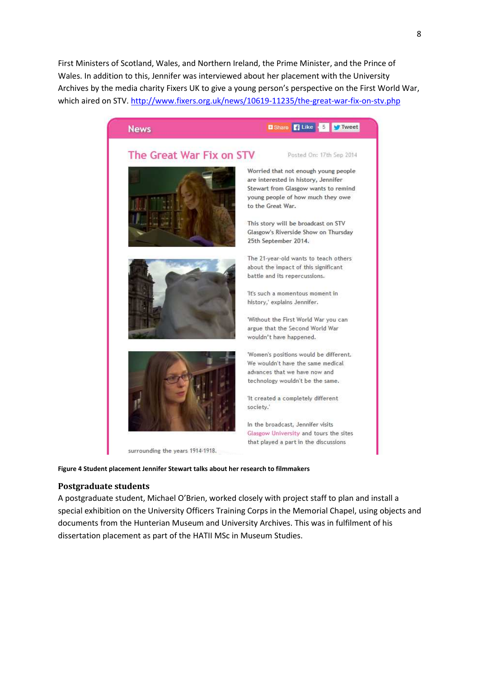First Ministers of Scotland, Wales, and Northern Ireland, the Prime Minister, and the Prince of Wales. In addition to this, Jennifer was interviewed about her placement with the University Archives by the media charity Fixers UK to give a young person's perspective on the First World War, which aired on STV. http://www.fixers.org.uk/news/10619-11235/the-great-war-fix-on-stv.php



**Figure 4 Student placement Jennifer Stewart talks about her research to filmmakers** 

#### **Postgraduate students**

A postgraduate student, Michael O'Brien, worked closely with project staff to plan and install a special exhibition on the University Officers Training Corps in the Memorial Chapel, using objects and documents from the Hunterian Museum and University Archives. This was in fulfilment of his dissertation placement as part of the HATII MSc in Museum Studies.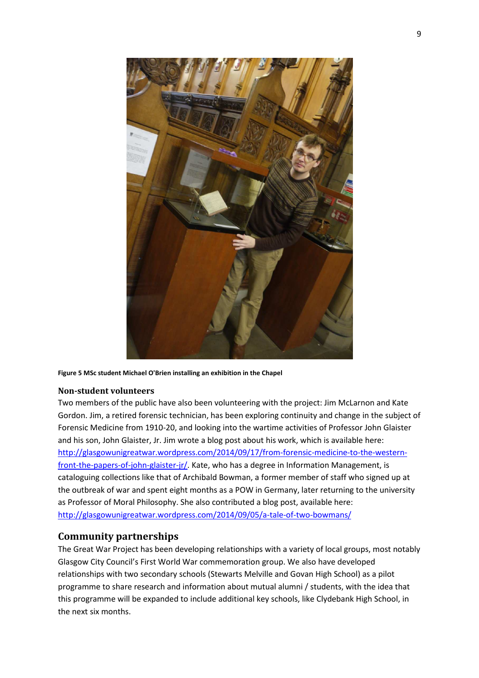

**Figure 5 MSc student Michael O'Brien installing an exhibition in the Chapel** 

#### **Non-student volunteers**

Two members of the public have also been volunteering with the project: Jim McLarnon and Kate Gordon. Jim, a retired forensic technician, has been exploring continuity and change in the subject of Forensic Medicine from 1910-20, and looking into the wartime activities of Professor John Glaister and his son, John Glaister, Jr. Jim wrote a blog post about his work, which is available here: http://glasgowunigreatwar.wordpress.com/2014/09/17/from-forensic-medicine-to-the-westernfront-the-papers-of-john-glaister-jr/. Kate, who has a degree in Information Management, is cataloguing collections like that of Archibald Bowman, a former member of staff who signed up at the outbreak of war and spent eight months as a POW in Germany, later returning to the university as Professor of Moral Philosophy. She also contributed a blog post, available here: http://glasgowunigreatwar.wordpress.com/2014/09/05/a-tale-of-two-bowmans/

#### **Community partnerships**

The Great War Project has been developing relationships with a variety of local groups, most notably Glasgow City Council's First World War commemoration group. We also have developed relationships with two secondary schools (Stewarts Melville and Govan High School) as a pilot programme to share research and information about mutual alumni / students, with the idea that this programme will be expanded to include additional key schools, like Clydebank High School, in the next six months.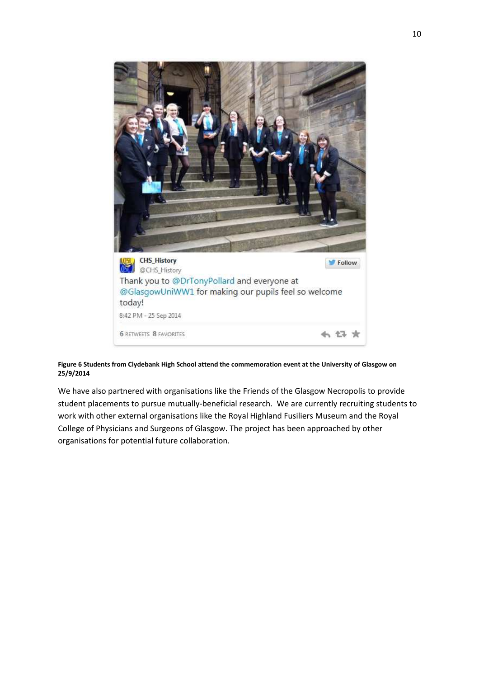

**Figure 6 Students from Clydebank High School attend the commemoration event at the University of Glasgow on 25/9/2014** 

We have also partnered with organisations like the Friends of the Glasgow Necropolis to provide student placements to pursue mutually-beneficial research. We are currently recruiting students to work with other external organisations like the Royal Highland Fusiliers Museum and the Royal College of Physicians and Surgeons of Glasgow. The project has been approached by other organisations for potential future collaboration.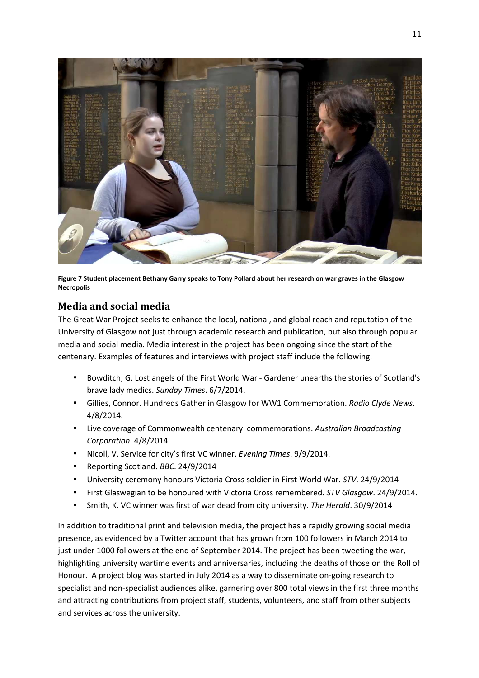

**Figure 7 Student placement Bethany Garry speaks to Tony Pollard about her research on war graves in the Glasgow Necropolis** 

## **Media and social media**

The Great War Project seeks to enhance the local, national, and global reach and reputation of the University of Glasgow not just through academic research and publication, but also through popular media and social media. Media interest in the project has been ongoing since the start of the centenary. Examples of features and interviews with project staff include the following:

- Bowditch, G. Lost angels of the First World War Gardener unearths the stories of Scotland's brave lady medics. *Sunday Times*. 6/7/2014.
- Gillies, Connor. Hundreds Gather in Glasgow for WW1 Commemoration. *Radio Clyde News*. 4/8/2014.
- Live coverage of Commonwealth centenary commemorations. *Australian Broadcasting Corporation*. 4/8/2014.
- Nicoll, V. Service for city's first VC winner. *Evening Times*. 9/9/2014.
- Reporting Scotland. *BBC*. 24/9/2014
- University ceremony honours Victoria Cross soldier in First World War. *STV*. 24/9/2014
- First Glaswegian to be honoured with Victoria Cross remembered. *STV Glasgow*. 24/9/2014.
- Smith, K. VC winner was first of war dead from city university. *The Herald*. 30/9/2014

In addition to traditional print and television media, the project has a rapidly growing social media presence, as evidenced by a Twitter account that has grown from 100 followers in March 2014 to just under 1000 followers at the end of September 2014. The project has been tweeting the war, highlighting university wartime events and anniversaries, including the deaths of those on the Roll of Honour. A project blog was started in July 2014 as a way to disseminate on-going research to specialist and non-specialist audiences alike, garnering over 800 total views in the first three months and attracting contributions from project staff, students, volunteers, and staff from other subjects and services across the university.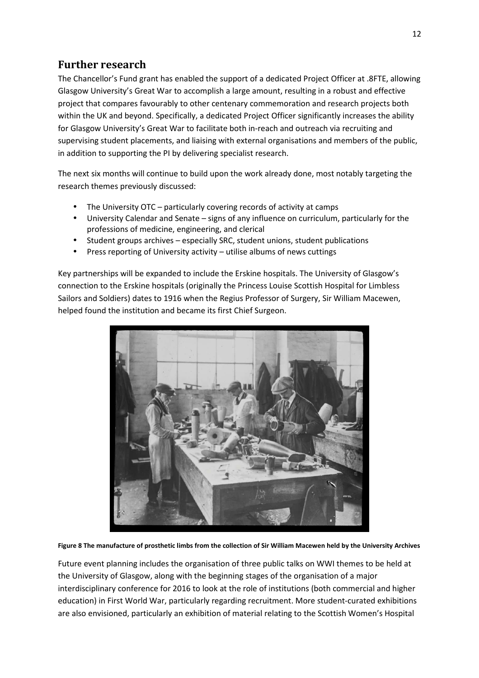## **Further research**

The Chancellor's Fund grant has enabled the support of a dedicated Project Officer at .8FTE, allowing Glasgow University's Great War to accomplish a large amount, resulting in a robust and effective project that compares favourably to other centenary commemoration and research projects both within the UK and beyond. Specifically, a dedicated Project Officer significantly increases the ability for Glasgow University's Great War to facilitate both in-reach and outreach via recruiting and supervising student placements, and liaising with external organisations and members of the public, in addition to supporting the PI by delivering specialist research.

The next six months will continue to build upon the work already done, most notably targeting the research themes previously discussed:

- The University OTC particularly covering records of activity at camps
- University Calendar and Senate signs of any influence on curriculum, particularly for the professions of medicine, engineering, and clerical
- Student groups archives especially SRC, student unions, student publications
- Press reporting of University activity utilise albums of news cuttings

Key partnerships will be expanded to include the Erskine hospitals. The University of Glasgow's connection to the Erskine hospitals (originally the Princess Louise Scottish Hospital for Limbless Sailors and Soldiers) dates to 1916 when the Regius Professor of Surgery, Sir William Macewen, helped found the institution and became its first Chief Surgeon.



**Figure 8 The manufacture of prosthetic limbs from the collection of Sir William Macewen held by the University Archives** 

Future event planning includes the organisation of three public talks on WWI themes to be held at the University of Glasgow, along with the beginning stages of the organisation of a major interdisciplinary conference for 2016 to look at the role of institutions (both commercial and higher education) in First World War, particularly regarding recruitment. More student-curated exhibitions are also envisioned, particularly an exhibition of material relating to the Scottish Women's Hospital